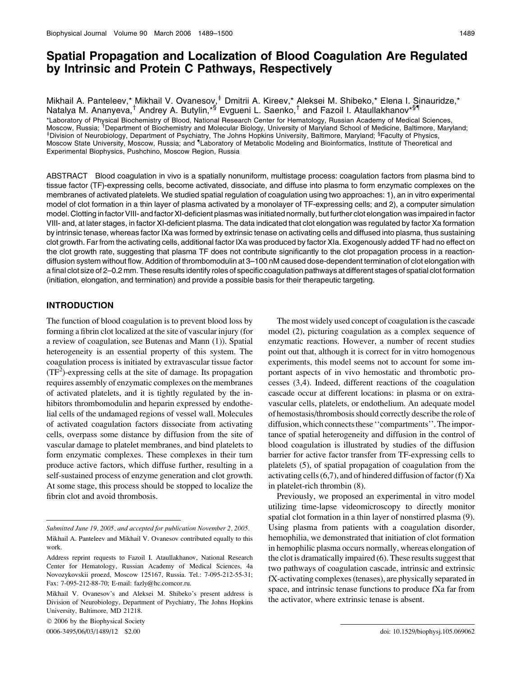# Spatial Propagation and Localization of Blood Coagulation Are Regulated by Intrinsic and Protein C Pathways, Respectively

Mikhail A. Panteleev,\* Mikhail V. Ovanesov,<sup>‡</sup> Dmitrii A. Kireev,\* Aleksei M. Shibeko,\* Elena I. Sinauridze,\* Natalya M. Ananyeva,<sup>†</sup> Andrey A. Butylin,\*§ Evgueni L. Saenko,<sup>†</sup> and Fazoil I. Ataullakhanov\*<sup>§</sup>'' \*Laboratory of Physical Biochemistry of Blood, National Research Center for Hematology, Russian Academy of Medical Sciences, Moscow, Russia; <sup>†</sup>Department of Biochemistry and Molecular Biology, University of Maryland School of Medicine, Baltimore, Maryland;<br>‡Division of Nourabiology, Department of Beychistry, The Johns Hopkins University, Baltim Division of Neurobiology, Department of Psychiatry, The Johns Hopkins University, Baltimore, Maryland; <sup>§</sup>Faculty of Physics, Moscow State University, Moscow, Russia; and <sup>1</sup>Laboratory of Metabolic Modeling and Bioinformatics, Institute of Theoretical and Experimental Biophysics, Pushchino, Moscow Region, Russia

ABSTRACT Blood coagulation in vivo is a spatially nonuniform, multistage process: coagulation factors from plasma bind to tissue factor (TF)-expressing cells, become activated, dissociate, and diffuse into plasma to form enzymatic complexes on the membranes of activated platelets. We studied spatial regulation of coagulation using two approaches: 1), an in vitro experimental model of clot formation in a thin layer of plasma activated by a monolayer of TF-expressing cells; and 2), a computer simulation model. Clotting in factor VIII- and factor XI-deficient plasmas was initiated normally, but further clot elongation was impaired in factor VIII- and, at later stages, in factor XI-deficient plasma. The data indicated that clot elongation was regulated by factor Xa formation by intrinsic tenase, whereas factor IXa was formed by extrinsic tenase on activating cells and diffused into plasma, thus sustaining clot growth. Far from the activating cells, additional factor IXa was produced by factor XIa. Exogenously added TF had no effect on the clot growth rate, suggesting that plasma TF does not contribute significantly to the clot propagation process in a reactiondiffusion system without flow. Addition of thrombomodulin at 3–100 nM caused dose-dependent termination of clot elongation with a final clot size of 2–0.2 mm. These results identify roles of specific coagulation pathways at different stages of spatial clot formation (initiation, elongation, and termination) and provide a possible basis for their therapeutic targeting.

# INTRODUCTION

The function of blood coagulation is to prevent blood loss by forming a fibrin clot localized at the site of vascular injury (for a review of coagulation, see Butenas and Mann (1)). Spatial heterogeneity is an essential property of this system. The coagulation process is initiated by extravascular tissue factor  $(TF<sup>2</sup>)$ -expressing cells at the site of damage. Its propagation requires assembly of enzymatic complexes on the membranes of activated platelets, and it is tightly regulated by the inhibitors thrombomodulin and heparin expressed by endothelial cells of the undamaged regions of vessel wall. Molecules of activated coagulation factors dissociate from activating cells, overpass some distance by diffusion from the site of vascular damage to platelet membranes, and bind platelets to form enzymatic complexes. These complexes in their turn produce active factors, which diffuse further, resulting in a self-sustained process of enzyme generation and clot growth. At some stage, this process should be stopped to localize the fibrin clot and avoid thrombosis.

2006 by the Biophysical Society

The most widely used concept of coagulation is the cascade model (2), picturing coagulation as a complex sequence of enzymatic reactions. However, a number of recent studies point out that, although it is correct for in vitro homogenous experiments, this model seems not to account for some important aspects of in vivo hemostatic and thrombotic processes (3,4). Indeed, different reactions of the coagulation cascade occur at different locations: in plasma or on extravascular cells, platelets, or endothelium. An adequate model of hemostasis/thrombosis should correctly describe the role of diffusion, which connects these ''compartments''. The importance of spatial heterogeneity and diffusion in the control of blood coagulation is illustrated by studies of the diffusion barrier for active factor transfer from TF-expressing cells to platelets (5), of spatial propagation of coagulation from the activating cells (6,7), and of hindered diffusion of factor (f) Xa in platelet-rich thrombin (8).

Previously, we proposed an experimental in vitro model utilizing time-lapse videomicroscopy to directly monitor spatial clot formation in a thin layer of nonstirred plasma (9). Using plasma from patients with a coagulation disorder, hemophilia, we demonstrated that initiation of clot formation in hemophilic plasma occurs normally, whereas elongation of the clot is dramatically impaired (6). These results suggest that two pathways of coagulation cascade, intrinsic and extrinsic fX-activating complexes (tenases), are physically separated in space, and intrinsic tenase functions to produce fXa far from the activator, where extrinsic tenase is absent.

Submitted June 19, 2005, and accepted for publication November 2, 2005.

Mikhail A. Panteleev and Mikhail V. Ovanesov contributed equally to this work.

Address reprint requests to Fazoil I. Ataullakhanov, National Research Center for Hematology, Russian Academy of Medical Sciences, 4a Novozykovskii proezd, Moscow 125167, Russia. Tel.: 7-095-212-55-31; Fax: 7-095-212-88-70; E-mail: fazly@hc.comcor.ru.

Mikhail V. Ovanesov's and Aleksei M. Shibeko's present address is Division of Neurobiology, Department of Psychiatry, The Johns Hopkins University, Baltimore, MD 21218.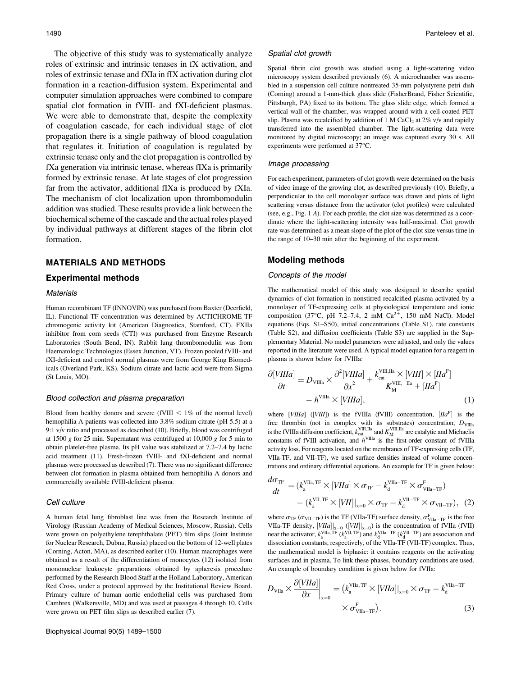The objective of this study was to systematically analyze roles of extrinsic and intrinsic tenases in fX activation, and roles of extrinsic tenase and fXIa in fIX activation during clot formation in a reaction-diffusion system. Experimental and computer simulation approaches were combined to compare spatial clot formation in fVIII- and fXI-deficient plasmas. We were able to demonstrate that, despite the complexity of coagulation cascade, for each individual stage of clot propagation there is a single pathway of blood coagulation that regulates it. Initiation of coagulation is regulated by extrinsic tenase only and the clot propagation is controlled by fXa generation via intrinsic tenase, whereas fIXa is primarily formed by extrinsic tenase. At late stages of clot progression far from the activator, additional fIXa is produced by fXIa. The mechanism of clot localization upon thrombomodulin addition was studied. These results provide a link between the biochemical scheme of the cascade and the actual roles played by individual pathways at different stages of the fibrin clot formation.

### MATERIALS AND METHODS

#### Experimental methods

#### **Materials**

Human recombinant TF (INNOVIN) was purchased from Baxter (Deerfield, IL). Functional TF concentration was determined by ACTICHROME TF chromogenic activity kit (American Diagnostica, Stamford, CT). FXIIa inhibitor from corn seeds (CTI) was purchased from Enzyme Research Laboratories (South Bend, IN). Rabbit lung thrombomodulin was from Haematologic Technologies (Essex Junction, VT). Frozen pooled fVIII- and fXI-deficient and control normal plasmas were from George King Biomedicals (Overland Park, KS). Sodium citrate and lactic acid were from Sigma (St Louis, MO).

#### Blood collection and plasma preparation

Blood from healthy donors and severe (fVIII  $< 1\%$  of the normal level) hemophilia A patients was collected into 3.8% sodium citrate (pH 5.5) at a 9:1 v/v ratio and processed as described (10). Briefly, blood was centrifuged at 1500 g for 25 min. Supernatant was centrifuged at 10,000 g for 5 min to obtain platelet-free plasma. Its pH value was stabilized at 7.2–7.4 by lactic acid treatment (11). Fresh-frozen fVIII- and fXI-deficient and normal plasmas were processed as described (7). There was no significant difference between clot formation in plasma obtained from hemophilia A donors and commercially available fVIII-deficient plasma.

#### Cell culture

A human fetal lung fibroblast line was from the Research Institute of Virology (Russian Academy of Medical Sciences, Moscow, Russia). Cells were grown on polyethylene terephthalate (PET) film slips (Joint Institute for Nuclear Research, Dubna, Russia) placed on the bottom of 12-well plates (Corning, Acton, MA), as described earlier (10). Human macrophages were obtained as a result of the differentiation of monocytes (12) isolated from mononuclear leukocyte preparations obtained by apheresis procedure performed by the Research Blood Staff at the Holland Laboratory, American Red Cross, under a protocol approved by the Institutional Review Board. Primary culture of human aortic endothelial cells was purchased from Cambrex (Walkersville, MD) and was used at passages 4 through 10. Cells were grown on PET film slips as described earlier (7).

#### Spatial clot growth

Spatial fibrin clot growth was studied using a light-scattering video microscopy system described previously (6). A microchamber was assembled in a suspension cell culture nontreated 35-mm polystyrene petri dish (Corning) around a 1-mm-thick glass slide (FisherBrand, Fisher Scientific, Pittsburgh, PA) fixed to its bottom. The glass slide edge, which formed a vertical wall of the chamber, was wrapped around with a cell-coated PET slip. Plasma was recalcified by addition of 1 M CaCl<sub>2</sub> at  $2\%$  v/v and rapidly transferred into the assembled chamber. The light-scattering data were monitored by digital microscopy; an image was captured every 30 s. All experiments were performed at 37°C.

#### Image processing

For each experiment, parameters of clot growth were determined on the basis of video image of the growing clot, as described previously (10). Briefly, a perpendicular to the cell monolayer surface was drawn and plots of light scattering versus distance from the activator (clot profiles) were calculated (see, e.g., Fig. 1 A). For each profile, the clot size was determined as a coordinate where the light-scattering intensity was half-maximal. Clot growth rate was determined as a mean slope of the plot of the clot size versus time in the range of 10–30 min after the beginning of the experiment.

### Modeling methods

#### Concepts of the model

The mathematical model of this study was designed to describe spatial dynamics of clot formation in nonstirred recalcified plasma activated by a monolayer of TF-expressing cells at physiological temperature and ionic composition (37°C, pH 7.2–7.4, 2 mM  $Ca^{2+}$ , 150 mM NaCl). Model equations (Eqs. S1–S50), initial concentrations (Table S1), rate constants (Table S2), and diffusion coefficients (Table S3) are supplied in the Supplementary Material. No model parameters were adjusted, and only the values reported in the literature were used. A typical model equation for a reagent in plasma is shown below for fVIIIa:

$$
\frac{\partial [VIIIa]}{\partial t} = D_{\text{VIIIa}} \times \frac{\partial^2 [VIIIa]}{\partial x^2} + \frac{k_{\text{cat}}^{\text{VIII, IIA}} \times [VIII] \times [IIA^F]}{K_M^{\text{VIII. IIA}} + [IIA^F]}
$$
  
-  $h^{\text{VIIIa}} \times [VIIIa],$  (1)

where [VIIIa] ([VIII]) is the fVIIIa (fVIII) concentration,  $[IIa<sup>F</sup>]$  is the free thrombin (not in complex with its substrates) concentration,  $D_{\text{VIIIa}}$ is the fVIIIa diffusion coefficient,  $k_{\text{cat}}^{\text{VIII,IIa}}$  and  $K_{\text{M}}^{\text{VIII,IIa}}$  are catalytic and Michaelis constants of fVIII activation, and  $h^{\text{VIIIa}}$  is the first-order constant of fVIIIa activity loss. For reagents located on the membranes of TF-expressing cells (TF, VIIa-TF, and VII-TF), we used surface densities instead of volume concentrations and ordinary differential equations. An example for TF is given below:

$$
\frac{d\sigma_{\text{TF}}}{dt} = (k_{\text{a}}^{\text{VIIa}, \text{TF}} \times [VIIa] \times \sigma_{\text{TF}} - k_{\text{d}}^{\text{VIIa-TF}} \times \sigma_{\text{VIIa-TF}}^{\text{F}}) \n- (k_{\text{a}}^{\text{VII}, \text{TF}} \times [VII]|_{\text{x=0}} \times \sigma_{\text{TF}} - k_{\text{d}}^{\text{VII-TF}} \times \sigma_{\text{VII-TF}}), (2)
$$

where  $\sigma_{\text{TF}}$  ( $\sigma_{\text{VII-TF}}$ ) is the TF (VIIa-TF) surface density,  $\sigma_{\text{VIIa-TF}}^{\text{F}}$  is the free VIIa-TF density,  $[VIIa]_{x=0}$  ( $[VII]_{x=0}$ ) is the concentration of fVIIa (fVII) near the activator,  $k_{a}^{\text{VIIa, TF}}$  ( $k_{a}^{\text{VII, TF}}$ ) and  $k_{d}^{\text{VIIa-TF}}$  ( $k_{d}^{\text{VII-TF}}$ ) are association and dissociation constants, respectively, of the VIIa-TF (VII-TF) complex. Thus, the mathematical model is biphasic: it contains reagents on the activating surfaces and in plasma. To link these phases, boundary conditions are used. An example of boundary condition is given below for fVIIa:

$$
D_{\text{VIIa}} \times \frac{\partial [VIIa]}{\partial x}\Big|_{x=0} = (k_{\text{a}}^{\text{VIIa}, \text{TF}} \times [VIIa]|_{x=0} \times \sigma_{\text{TF}} - k_{\text{d}}^{\text{VIIa-TF}} \times \sigma_{\text{VIIa-TF}}^{\text{F}}).
$$
 (3)

 $\sim$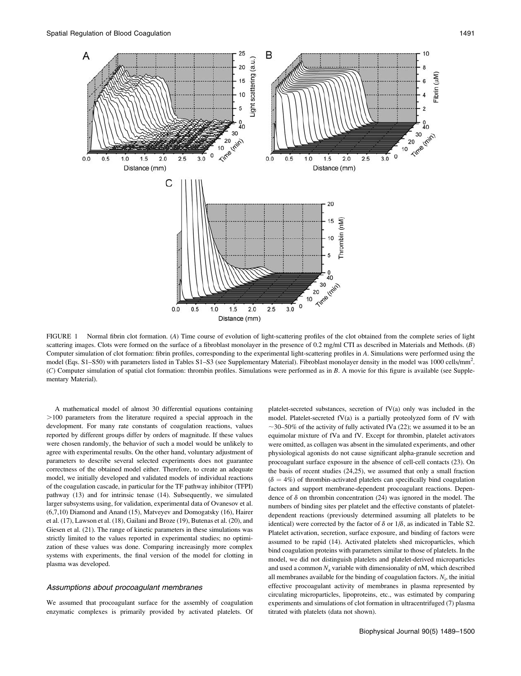

FIGURE 1 Normal fibrin clot formation. (A) Time course of evolution of light-scattering profiles of the clot obtained from the complete series of light scattering images. Clots were formed on the surface of a fibroblast monolayer in the presence of 0.2 mg/ml CTI as described in Materials and Methods. (B) Computer simulation of clot formation: fibrin profiles, corresponding to the experimental light-scattering profiles in A. Simulations were performed using the model (Eqs. S1–S50) with parameters listed in Tables S1–S3 (see Supplementary Material). Fibroblast monolayer density in the model was 1000 cells/mm<sup>2</sup>. (C) Computer simulation of spatial clot formation: thrombin profiles. Simulations were performed as in B. A movie for this figure is available (see Supplementary Material).

A mathematical model of almost 30 differential equations containing  $>100$  parameters from the literature required a special approach in the development. For many rate constants of coagulation reactions, values reported by different groups differ by orders of magnitude. If these values were chosen randomly, the behavior of such a model would be unlikely to agree with experimental results. On the other hand, voluntary adjustment of parameters to describe several selected experiments does not guarantee correctness of the obtained model either. Therefore, to create an adequate model, we initially developed and validated models of individual reactions of the coagulation cascade, in particular for the TF pathway inhibitor (TFPI) pathway (13) and for intrinsic tenase (14). Subsequently, we simulated larger subsystems using, for validation, experimental data of Ovanesov et al. (6,7,10) Diamond and Anand (15), Matveyev and Domogatsky (16), Hairer et al. (17), Lawson et al. (18), Gailani and Broze (19), Butenas et al. (20), and Giesen et al. (21). The range of kinetic parameters in these simulations was strictly limited to the values reported in experimental studies; no optimization of these values was done. Comparing increasingly more complex systems with experiments, the final version of the model for clotting in plasma was developed.

#### Assumptions about procoagulant membranes

We assumed that procoagulant surface for the assembly of coagulation enzymatic complexes is primarily provided by activated platelets. Of

platelet-secreted substances, secretion of fV(a) only was included in the model. Platelet-secreted fV(a) is a partially proteolyzed form of fV with  $\sim$ 30–50% of the activity of fully activated fVa (22); we assumed it to be an equimolar mixture of fVa and fV. Except for thrombin, platelet activators were omitted, as collagen was absent in the simulated experiments, and other physiological agonists do not cause significant alpha-granule secretion and procoagulant surface exposure in the absence of cell-cell contacts (23). On the basis of recent studies (24,25), we assumed that only a small fraction  $(\delta = 4\%)$  of thrombin-activated platelets can specifically bind coagulation factors and support membrane-dependent procoagulant reactions. Dependence of  $\delta$  on thrombin concentration (24) was ignored in the model. The numbers of binding sites per platelet and the effective constants of plateletdependent reactions (previously determined assuming all platelets to be identical) were corrected by the factor of  $\delta$  or  $1/\delta$ , as indicated in Table S2. Platelet activation, secretion, surface exposure, and binding of factors were assumed to be rapid (14). Activated platelets shed microparticles, which bind coagulation proteins with parameters similar to those of platelets. In the model, we did not distinguish platelets and platelet-derived microparticles and used a common  $N_a$  variable with dimensionality of nM, which described all membranes available for the binding of coagulation factors.  $N_i$ , the initial effective procoagulant activity of membranes in plasma represented by circulating microparticles, lipoproteins, etc., was estimated by comparing experiments and simulations of clot formation in ultracentrifuged (7) plasma titrated with platelets (data not shown).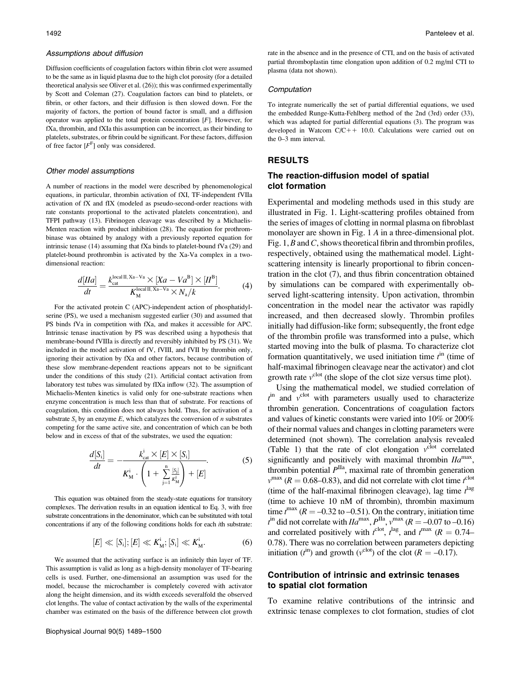#### Assumptions about diffusion

Diffusion coefficients of coagulation factors within fibrin clot were assumed to be the same as in liquid plasma due to the high clot porosity (for a detailed theoretical analysis see Oliver et al. (26)); this was confirmed experimentally by Scott and Coleman (27). Coagulation factors can bind to platelets, or fibrin, or other factors, and their diffusion is then slowed down. For the majority of factors, the portion of bound factor is small, and a diffusion operator was applied to the total protein concentration [F]. However, for fXa, thrombin, and fXIa this assumption can be incorrect, as their binding to platelets, substrates, or fibrin could be significant. For these factors, diffusion of free factor  $[F<sup>F</sup>]$  only was considered.

#### Other model assumptions

A number of reactions in the model were described by phenomenological equations, in particular, thrombin activation of fXI, TF-independent fVIIa activation of fX and fIX (modeled as pseudo-second-order reactions with rate constants proportional to the activated platelets concentration), and TFPI pathway (13). Fibrinogen cleavage was described by a Michaelis-Menten reaction with product inhibition (28). The equation for prothrombinase was obtained by analogy with a previously reported equation for intrinsic tenase (14) assuming that fXa binds to platelet-bound fVa (29) and platelet-bound prothrombin is activated by the Xa-Va complex in a twodimensional reaction:

$$
\frac{d[IIa]}{dt} = \frac{k_{\text{cat}}^{\text{local II, Xa-Va}} \times [Xa - Va^B] \times [I^B]}{K_{\text{M}}^{\text{local II, Xa-Va}} \times N_a/k}.
$$
 (4)

For the activated protein C (APC)-independent action of phosphatidylserine (PS), we used a mechanism suggested earlier (30) and assumed that PS binds fVa in competition with fXa, and makes it accessible for APC. Intrinsic tenase inactivation by PS was described using a hypothesis that membrane-bound fVIIIa is directly and reversibly inhibited by PS (31). We included in the model activation of fV, fVIII, and fVII by thrombin only, ignoring their activation by fXa and other factors, because contribution of these slow membrane-dependent reactions appears not to be significant under the conditions of this study (21). Artificial contact activation from laboratory test tubes was simulated by fIXa inflow (32). The assumption of Michaelis-Menten kinetics is valid only for one-substrate reactions when enzyme concentration is much less than that of substrate. For reactions of coagulation, this condition does not always hold. Thus, for activation of a substrate  $S_i$  by an enzyme E, which catalyzes the conversion of n substrates competing for the same active site, and concentration of which can be both below and in excess of that of the substrates, we used the equation:

$$
\frac{d[S_i]}{dt} = -\frac{k_{\text{cat}}^i \times [E] \times [S_i]}{K_M^i \cdot \left(1 + \sum_{j=1}^n \frac{[S_j]}{K_M^j}\right) + [E]}.\tag{5}
$$

This equation was obtained from the steady-state equations for transitory complexes. The derivation results in an equation identical to Eq. 3, with free substrate concentrations in the denominator, which can be substituted with total concentrations if any of the following conditions holds for each ith substrate:

$$
[E] \ll [S_i]; [E] \ll K_M^i; [S_i] \ll K_M^i.
$$
 (6)

We assumed that the activating surface is an infinitely thin layer of TF. This assumption is valid as long as a high-density monolayer of TF-bearing cells is used. Further, one-dimensional an assumption was used for the model, because the microchamber is completely covered with activator along the height dimension, and its width exceeds severalfold the observed clot lengths. The value of contact activation by the walls of the experimental chamber was estimated on the basis of the difference between clot growth rate in the absence and in the presence of CTI, and on the basis of activated partial thromboplastin time elongation upon addition of 0.2 mg/ml CTI to plasma (data not shown).

#### Computation

To integrate numerically the set of partial differential equations, we used the embedded Runge-Kutta-Fehlberg method of the 2nd (3rd) order (33), which was adapted for partial differential equations (3). The program was developed in Watcom  $C/C++10.0$ . Calculations were carried out on the 0–3 mm interval.

## RESULTS

# The reaction-diffusion model of spatial clot formation

Experimental and modeling methods used in this study are illustrated in Fig. 1. Light-scattering profiles obtained from the series of images of clotting in normal plasma on fibroblast monolayer are shown in Fig. 1 A in a three-dimensional plot. Fig.  $1, B$  and C, shows theoretical fibrin and thrombin profiles, respectively, obtained using the mathematical model. Lightscattering intensity is linearly proportional to fibrin concentration in the clot (7), and thus fibrin concentration obtained by simulations can be compared with experimentally observed light-scattering intensity. Upon activation, thrombin concentration in the model near the activator was rapidly increased, and then decreased slowly. Thrombin profiles initially had diffusion-like form; subsequently, the front edge of the thrombin profile was transformed into a pulse, which started moving into the bulk of plasma. To characterize clot formation quantitatively, we used initiation time  $t<sup>in</sup>$  (time of half-maximal fibrinogen cleavage near the activator) and clot growth rate  $v^{\text{clot}}$  (the slope of the clot size versus time plot).

Using the mathematical model, we studied correlation of  $t^{\text{in}}$  and  $v^{\text{clot}}$  with parameters usually used to characterize thrombin generation. Concentrations of coagulation factors and values of kinetic constants were varied into 10% or 200% of their normal values and changes in clotting parameters were determined (not shown). The correlation analysis revealed (Table 1) that the rate of clot elongation  $v^{\text{clot}}$  correlated significantly and positively with maximal thrombin  $I/a<sup>max</sup>$ , thrombin potential  $P<sup>IIa</sup>$ , maximal rate of thrombin generation  $v^{\text{max}}$  ( $R = 0.68{\text{-}}0.83$ ), and did not correlate with clot time  $t^{\text{clot}}$ (time of the half-maximal fibrinogen cleavage), lag time  $t^{\text{lag}}$ (time to achieve 10 nM of thrombin), thrombin maximum time  $t^{max}$  ( $R = -0.32$  to  $-0.51$ ). On the contrary, initiation time  $t^{\text{in}}$  did not correlate with  $I I a^{\text{max}}$ ,  $P^{\text{IIa}}$ ,  $v^{\text{max}}$  ( $R = -0.07$  to  $-0.16$ ) and correlated positively with  $t^{\text{clot}}$ ,  $t^{\text{lag}}$ , and  $t^{\text{max}}$  ( $R = 0.74-$ 0.78). There was no correlation between parameters depicting initiation ( $t^{\text{in}}$ ) and growth ( $v^{\text{clot}}$ ) of the clot ( $R = -0.17$ ).

### Contribution of intrinsic and extrinsic tenases to spatial clot formation

To examine relative contributions of the intrinsic and extrinsic tenase complexes to clot formation, studies of clot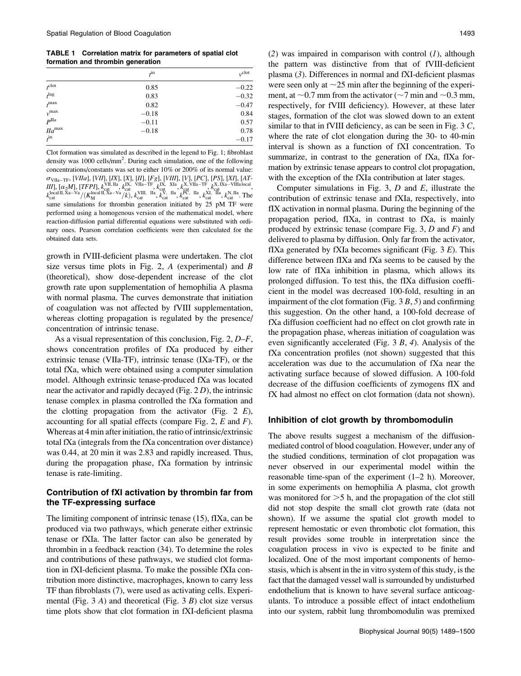TABLE 1 Correlation matrix for parameters of spatial clot formation and thrombin generation

|                      | $t^{\text{in}}$ | $v^{\text{clot}}$ |
|----------------------|-----------------|-------------------|
| $t^{\text{clot}}$    | 0.85            | $-0.22$           |
| $t^{\text{lag}}$     | 0.83            | $-0.32$           |
| $t^{\max}$           | 0.82            | $-0.47$           |
| $v$ <sup>max</sup>   | $-0.18$         | 0.84              |
| P <sup>IIa</sup>     | $-0.11$         | 0.57              |
| $I/a$ <sup>max</sup> | $-0.18$         | 0.78              |
| $t^{\rm in}$         |                 | $-0.17$           |

Clot formation was simulated as described in the legend to Fig. 1; fibroblast density was 1000 cells/mm<sup>2</sup>. During each simulation, one of the following concentrations/constants was set to either 10% or 200% of its normal value:  $\sigma_{\rm VIIa-TF},$  [VIIa], [VII], [IX], [X], [II], [Fg], [VIII], [V], [PC], [PS], [XI], [AT-III],  $[\alpha_2 M]$ , [TFPI],  $k_{\text{cat}}^{\text{VII, IIa}}$ ,  $k_{\text{cat}}^{\text{IX, VIIa-TF}}$ ,  $k_{\text{cat}}^{\text{IX, XIa}}$ ,  $k_{\text{cat}}^{\text{X, VIIa-TF}}$ ,  $k_{\text{cat}}^{\text{X, IXa-VIIIa local}}$ ,  $k_{\text{cat}}^{\text{local II, Xa-Va}}/(K_{\text{M}}^{\text{local II, Xa-Va}}/k), k_{\text{cat}}^{\text{VIII, IIa}}, k_{\text{cat}}^{\text{V, IIa}}, k_{\text{cat}}^{\text{PC, IIa}}, k_{\text{cat}}^{\text{XI, IIa}}, k_{\text{cat}}^{\text{N, IIa}}$ . The same simulations for thrombin generation initiated by 25 pM TF were performed using a homogenous version of the mathematical model, where reaction-diffusion partial differential equations were substituted with ordinary ones. Pearson correlation coefficients were then calculated for the obtained data sets.

growth in fVIII-deficient plasma were undertaken. The clot size versus time plots in Fig. 2,  $A$  (experimental) and  $B$ (theoretical), show dose-dependent increase of the clot growth rate upon supplementation of hemophilia A plasma with normal plasma. The curves demonstrate that initiation of coagulation was not affected by fVIII supplementation, whereas clotting propagation is regulated by the presence/ concentration of intrinsic tenase.

As a visual representation of this conclusion, Fig. 2, D–F, shows concentration profiles of fXa produced by either extrinsic tenase (VIIa-TF), intrinsic tenase (IXa-TF), or the total fXa, which were obtained using a computer simulation model. Although extrinsic tenase-produced fXa was located near the activator and rapidly decayed (Fig. 2 D), the intrinsic tenase complex in plasma controlled the fXa formation and the clotting propagation from the activator (Fig. 2  $E$ ), accounting for all spatial effects (compare Fig. 2,  $E$  and  $F$ ). Whereas at 4 min after initiation, the ratio of intrinsic/extrinsic total fXa (integrals from the fXa concentration over distance) was 0.44, at 20 min it was 2.83 and rapidly increased. Thus, during the propagation phase, fXa formation by intrinsic tenase is rate-limiting.

# Contribution of fXI activation by thrombin far from the TF-expressing surface

The limiting component of intrinsic tenase (15), fIXa, can be produced via two pathways, which generate either extrinsic tenase or fXIa. The latter factor can also be generated by thrombin in a feedback reaction (34). To determine the roles and contributions of these pathways, we studied clot formation in fXI-deficient plasma. To make the possible fXIa contribution more distinctive, macrophages, known to carry less TF than fibroblasts (7), were used as activating cells. Experimental (Fig. 3 A) and theoretical (Fig. 3 B) clot size versus time plots show that clot formation in fXI-deficient plasma

(2) was impaired in comparison with control  $(I)$ , although the pattern was distinctive from that of fVIII-deficient plasma (3). Differences in normal and fXI-deficient plasmas were seen only at  $\sim$ 25 min after the beginning of the experiment, at  $\sim$  0.7 mm from the activator ( $\sim$ 7 min and  $\sim$  0.3 mm, respectively, for fVIII deficiency). However, at these later stages, formation of the clot was slowed down to an extent similar to that in fVIII deficiency, as can be seen in Fig.  $3 C$ , where the rate of clot elongation during the 30- to 40-min interval is shown as a function of fXI concentration. To summarize, in contrast to the generation of fXa, fIXa formation by extrinsic tenase appears to control clot propagation, with the exception of the fXIa contribution at later stages.

Computer simulations in Fig. 3,  $D$  and  $E$ , illustrate the contribution of extrinsic tenase and fXIa, respectively, into fIX activation in normal plasma. During the beginning of the propagation period, fIXa, in contrast to fXa, is mainly produced by extrinsic tenase (compare Fig. 3,  $D$  and  $F$ ) and delivered to plasma by diffusion. Only far from the activator, fIXa generated by fXIa becomes significant (Fig.  $3 E$ ). This difference between fIXa and fXa seems to be caused by the low rate of fIXa inhibition in plasma, which allows its prolonged diffusion. To test this, the fIXa diffusion coefficient in the model was decreased 100-fold, resulting in an impairment of the clot formation (Fig.  $3 B$ ,  $5$ ) and confirming this suggestion. On the other hand, a 100-fold decrease of fXa diffusion coefficient had no effect on clot growth rate in the propagation phase, whereas initiation of coagulation was even significantly accelerated (Fig. 3 B, 4). Analysis of the fXa concentration profiles (not shown) suggested that this acceleration was due to the accumulation of fXa near the activating surface because of slowed diffusion. A 100-fold decrease of the diffusion coefficients of zymogens fIX and fX had almost no effect on clot formation (data not shown).

### Inhibition of clot growth by thrombomodulin

The above results suggest a mechanism of the diffusionmediated control of blood coagulation. However, under any of the studied conditions, termination of clot propagation was never observed in our experimental model within the reasonable time-span of the experiment (1–2 h). Moreover, in some experiments on hemophilia A plasma, clot growth was monitored for  $>5$  h, and the propagation of the clot still did not stop despite the small clot growth rate (data not shown). If we assume the spatial clot growth model to represent hemostatic or even thrombotic clot formation, this result provides some trouble in interpretation since the coagulation process in vivo is expected to be finite and localized. One of the most important components of hemostasis, which is absent in the in vitro system of this study, is the fact that the damaged vessel wall is surrounded by undisturbed endothelium that is known to have several surface anticoagulants. To introduce a possible effect of intact endothelium into our system, rabbit lung thrombomodulin was premixed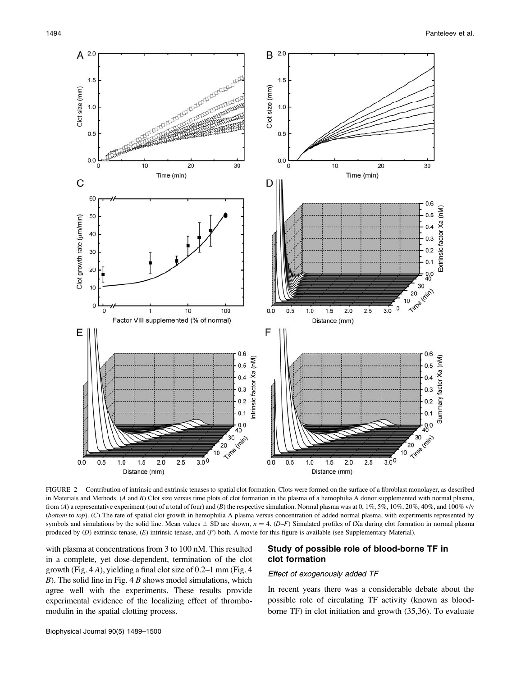

FIGURE 2 Contribution of intrinsic and extrinsic tenases to spatial clot formation. Clots were formed on the surface of a fibroblast monolayer, as described in Materials and Methods. (A and B) Clot size versus time plots of clot formation in the plasma of a hemophilia A donor supplemented with normal plasma, from (A) a representative experiment (out of a total of four) and (B) the respective simulation. Normal plasma was at 0, 1%, 5%, 10%, 20%, 40%, and 100% v/v (bottom to top). (C) The rate of spatial clot growth in hemophilia A plasma versus concentration of added normal plasma, with experiments represented by symbols and simulations by the solid line. Mean values  $\pm$  SD are shown,  $n = 4$ . (D–F) Simulated profiles of fXa during clot formation in normal plasma produced by (D) extrinsic tenase, (E) intrinsic tenase, and (F) both. A movie for this figure is available (see Supplementary Material).

with plasma at concentrations from 3 to 100 nM. This resulted in a complete, yet dose-dependent, termination of the clot growth (Fig.  $4A$ ), yielding a final clot size of 0.2–1 mm (Fig. 4)  $B$ ). The solid line in Fig. 4 B shows model simulations, which agree well with the experiments. These results provide experimental evidence of the localizing effect of thrombomodulin in the spatial clotting process.

# Study of possible role of blood-borne TF in clot formation

### Effect of exogenously added TF

In recent years there was a considerable debate about the possible role of circulating TF activity (known as bloodborne TF) in clot initiation and growth (35,36). To evaluate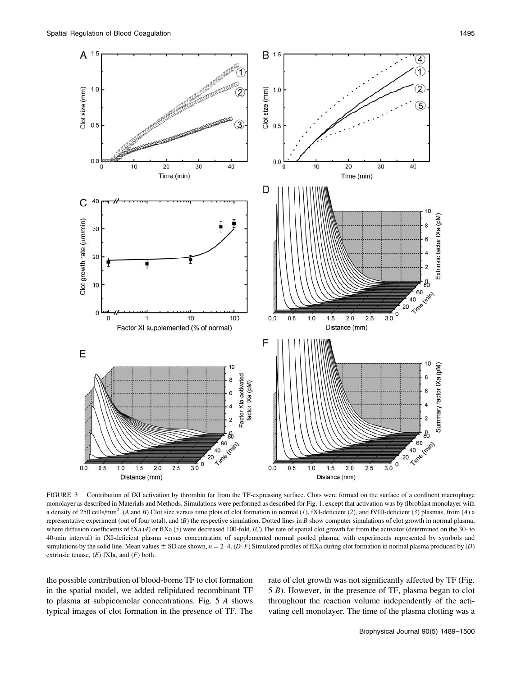

FIGURE 3 Contribution of fXI activation by thrombin far from the TF-expressing surface. Clots were formed on the surface of a confluent macrophage monolayer as described in Materials and Methods. Simulations were performed as described for Fig. 1, except that activation was by fibroblast monolayer with a density of 250 cells/mm<sup>2</sup>. (A and B) Clot size versus time plots of clot formation in normal (1), fXI-deficient (2), and fVIII-deficient (3) plasmas, from (A) a representative experiment (out of four total), and  $(B)$  the respective simulation. Dotted lines in B show computer simulations of clot growth in normal plasma, where diffusion coefficients of fXa (4) or fIXa (5) were decreased 100-fold. (C) The rate of spatial clot growth far from the activator (determined on the 30- to 40-min interval) in fXI-deficient plasma versus concentration of supplemented normal pooled plasma, with experiments represented by symbols and simulations by the solid line. Mean values  $\pm$  SD are shown,  $n = 2-4$ . (D–F) Simulated profiles of fIXa during clot formation in normal plasma produced by (D) extrinsic tenase,  $(E)$  fXIa, and  $(F)$  both.

the possible contribution of blood-borne TF to clot formation in the spatial model, we added relipidated recombinant TF to plasma at subpicomolar concentrations. Fig. 5 A shows typical images of clot formation in the presence of TF. The rate of clot growth was not significantly affected by TF (Fig. 5 B). However, in the presence of TF, plasma began to clot throughout the reaction volume independently of the activating cell monolayer. The time of the plasma clotting was a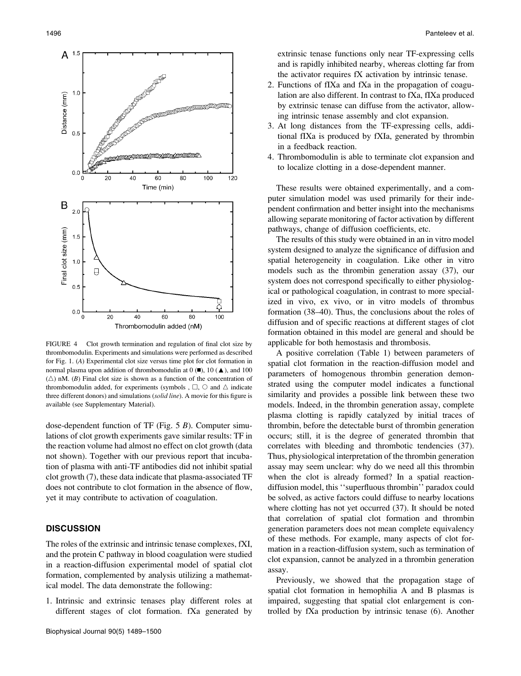

FIGURE 4 Clot growth termination and regulation of final clot size by thrombomodulin. Experiments and simulations were performed as described for Fig. 1. (A) Experimental clot size versus time plot for clot formation in normal plasma upon addition of thrombomodulin at  $(0, 10)$   $(4)$ , and 100  $(\triangle)$  nM. (B) Final clot size is shown as a function of the concentration of thrombomodulin added, for experiments (symbols ,  $\Box$ ,  $\bigcirc$  and  $\Delta$  indicate three different donors) and simulations (solid line). A movie for this figure is available (see Supplementary Material).

dose-dependent function of TF (Fig. 5 B). Computer simulations of clot growth experiments gave similar results: TF in the reaction volume had almost no effect on clot growth (data not shown). Together with our previous report that incubation of plasma with anti-TF antibodies did not inhibit spatial clot growth (7), these data indicate that plasma-associated TF does not contribute to clot formation in the absence of flow, yet it may contribute to activation of coagulation.

# **DISCUSSION**

The roles of the extrinsic and intrinsic tenase complexes, fXI, and the protein C pathway in blood coagulation were studied in a reaction-diffusion experimental model of spatial clot formation, complemented by analysis utilizing a mathematical model. The data demonstrate the following:

1. Intrinsic and extrinsic tenases play different roles at different stages of clot formation. fXa generated by

extrinsic tenase functions only near TF-expressing cells and is rapidly inhibited nearby, whereas clotting far from the activator requires fX activation by intrinsic tenase.

- 2. Functions of fIXa and fXa in the propagation of coagulation are also different. In contrast to fXa, fIXa produced by extrinsic tenase can diffuse from the activator, allowing intrinsic tenase assembly and clot expansion.
- 3. At long distances from the TF-expressing cells, additional fIXa is produced by fXIa, generated by thrombin in a feedback reaction.
- 4. Thrombomodulin is able to terminate clot expansion and to localize clotting in a dose-dependent manner.

These results were obtained experimentally, and a computer simulation model was used primarily for their independent confirmation and better insight into the mechanisms allowing separate monitoring of factor activation by different pathways, change of diffusion coefficients, etc.

The results of this study were obtained in an in vitro model system designed to analyze the significance of diffusion and spatial heterogeneity in coagulation. Like other in vitro models such as the thrombin generation assay (37), our system does not correspond specifically to either physiological or pathological coagulation, in contrast to more specialized in vivo, ex vivo, or in vitro models of thrombus formation (38–40). Thus, the conclusions about the roles of diffusion and of specific reactions at different stages of clot formation obtained in this model are general and should be applicable for both hemostasis and thrombosis.

A positive correlation (Table 1) between parameters of spatial clot formation in the reaction-diffusion model and parameters of homogenous thrombin generation demonstrated using the computer model indicates a functional similarity and provides a possible link between these two models. Indeed, in the thrombin generation assay, complete plasma clotting is rapidly catalyzed by initial traces of thrombin, before the detectable burst of thrombin generation occurs; still, it is the degree of generated thrombin that correlates with bleeding and thrombotic tendencies (37). Thus, physiological interpretation of the thrombin generation assay may seem unclear: why do we need all this thrombin when the clot is already formed? In a spatial reactiondiffusion model, this ''superfluous thrombin'' paradox could be solved, as active factors could diffuse to nearby locations where clotting has not yet occurred (37). It should be noted that correlation of spatial clot formation and thrombin generation parameters does not mean complete equivalency of these methods. For example, many aspects of clot formation in a reaction-diffusion system, such as termination of clot expansion, cannot be analyzed in a thrombin generation assay.

Previously, we showed that the propagation stage of spatial clot formation in hemophilia A and B plasmas is impaired, suggesting that spatial clot enlargement is controlled by fXa production by intrinsic tenase (6). Another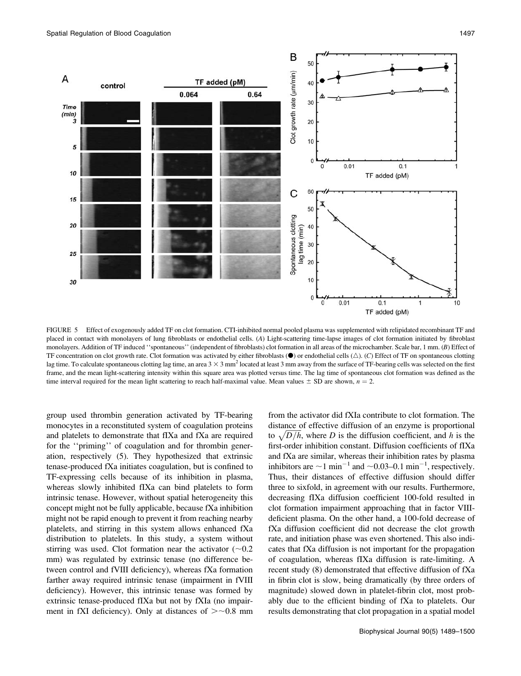

FIGURE 5 Effect of exogenously added TF on clot formation. CTI-inhibited normal pooled plasma was supplemented with relipidated recombinant TF and placed in contact with monolayers of lung fibroblasts or endothelial cells. (A) Light-scattering time-lapse images of clot formation initiated by fibroblast monolayers. Addition of TF induced "spontaneous" (independent of fibroblasts) clot formation in all areas of the microchamber. Scale bar, 1 mm. (B) Effect of TF concentration on clot growth rate. Clot formation was activated by either fibroblasts ( $\bullet$ ) or endothelial cells  $(\triangle)$ . (C) Effect of TF on spontaneous clotting lag time. To calculate spontaneous clotting lag time, an area  $3 \times 3$  mm<sup>2</sup> located at least 3 mm away from the surface of TF-bearing cells was selected on the first frame, and the mean light-scattering intensity within this square area was plotted versus time. The lag time of spontaneous clot formation was defined as the time interval required for the mean light scattering to reach half-maximal value. Mean values  $\pm$  SD are shown,  $n = 2$ .

group used thrombin generation activated by TF-bearing monocytes in a reconstituted system of coagulation proteins and platelets to demonstrate that fIXa and fXa are required for the ''priming'' of coagulation and for thrombin generation, respectively (5). They hypothesized that extrinsic tenase-produced fXa initiates coagulation, but is confined to TF-expressing cells because of its inhibition in plasma, whereas slowly inhibited fIXa can bind platelets to form intrinsic tenase. However, without spatial heterogeneity this concept might not be fully applicable, because fXa inhibition might not be rapid enough to prevent it from reaching nearby platelets, and stirring in this system allows enhanced fXa distribution to platelets. In this study, a system without stirring was used. Clot formation near the activator  $(\sim 0.2$ mm) was regulated by extrinsic tenase (no difference between control and fVIII deficiency), whereas fXa formation farther away required intrinsic tenase (impairment in fVIII deficiency). However, this intrinsic tenase was formed by extrinsic tenase-produced fIXa but not by fXIa (no impairment in fXI deficiency). Only at distances of  $\geq$  -0.8 mm from the activator did fXIa contribute to clot formation. The distance of effective diffusion of an enzyme is proportional to  $\sqrt{D/h}$ , where D is the diffusion coefficient, and h is the first-order inhibition constant. Diffusion coefficients of fIXa and fXa are similar, whereas their inhibition rates by plasma inhibitors are  $\sim$  1 min<sup>-1</sup> and  $\sim$  0.03-0.1 min<sup>-1</sup>, respectively. Thus, their distances of effective diffusion should differ three to sixfold, in agreement with our results. Furthermore, decreasing fIXa diffusion coefficient 100-fold resulted in clot formation impairment approaching that in factor VIIIdeficient plasma. On the other hand, a 100-fold decrease of fXa diffusion coefficient did not decrease the clot growth rate, and initiation phase was even shortened. This also indicates that fXa diffusion is not important for the propagation of coagulation, whereas fIXa diffusion is rate-limiting. A recent study (8) demonstrated that effective diffusion of fXa in fibrin clot is slow, being dramatically (by three orders of magnitude) slowed down in platelet-fibrin clot, most probably due to the efficient binding of fXa to platelets. Our results demonstrating that clot propagation in a spatial model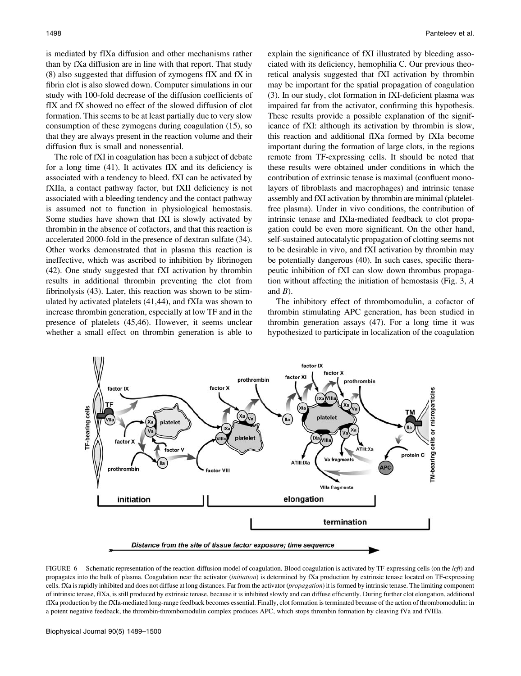is mediated by fIXa diffusion and other mechanisms rather than by fXa diffusion are in line with that report. That study (8) also suggested that diffusion of zymogens fIX and fX in fibrin clot is also slowed down. Computer simulations in our study with 100-fold decrease of the diffusion coefficients of fIX and fX showed no effect of the slowed diffusion of clot formation. This seems to be at least partially due to very slow consumption of these zymogens during coagulation (15), so that they are always present in the reaction volume and their diffusion flux is small and nonessential.

The role of fXI in coagulation has been a subject of debate for a long time (41). It activates fIX and its deficiency is associated with a tendency to bleed. fXI can be activated by fXIIa, a contact pathway factor, but fXII deficiency is not associated with a bleeding tendency and the contact pathway is assumed not to function in physiological hemostasis. Some studies have shown that fXI is slowly activated by thrombin in the absence of cofactors, and that this reaction is accelerated 2000-fold in the presence of dextran sulfate (34). Other works demonstrated that in plasma this reaction is ineffective, which was ascribed to inhibition by fibrinogen (42). One study suggested that fXI activation by thrombin results in additional thrombin preventing the clot from fibrinolysis (43). Later, this reaction was shown to be stimulated by activated platelets (41,44), and fXIa was shown to increase thrombin generation, especially at low TF and in the presence of platelets (45,46). However, it seems unclear whether a small effect on thrombin generation is able to

explain the significance of fXI illustrated by bleeding associated with its deficiency, hemophilia C. Our previous theoretical analysis suggested that fXI activation by thrombin may be important for the spatial propagation of coagulation (3). In our study, clot formation in fXI-deficient plasma was impaired far from the activator, confirming this hypothesis. These results provide a possible explanation of the significance of fXI: although its activation by thrombin is slow, this reaction and additional fIXa formed by fXIa become important during the formation of large clots, in the regions remote from TF-expressing cells. It should be noted that these results were obtained under conditions in which the contribution of extrinsic tenase is maximal (confluent monolayers of fibroblasts and macrophages) and intrinsic tenase assembly and fXI activation by thrombin are minimal (plateletfree plasma). Under in vivo conditions, the contribution of intrinsic tenase and fXIa-mediated feedback to clot propagation could be even more significant. On the other hand, self-sustained autocatalytic propagation of clotting seems not to be desirable in vivo, and fXI activation by thrombin may be potentially dangerous (40). In such cases, specific therapeutic inhibition of fXI can slow down thrombus propagation without affecting the initiation of hemostasis (Fig. 3, A and  $B$ ).

The inhibitory effect of thrombomodulin, a cofactor of thrombin stimulating APC generation, has been studied in thrombin generation assays (47). For a long time it was hypothesized to participate in localization of the coagulation



FIGURE 6 Schematic representation of the reaction-diffusion model of coagulation. Blood coagulation is activated by TF-expressing cells (on the left) and propagates into the bulk of plasma. Coagulation near the activator (initiation) is determined by fXa production by extrinsic tenase located on TF-expressing cells. fXa is rapidly inhibited and does not diffuse at long distances. Far from the activator (propagation) it is formed by intrinsic tenase. The limiting component of intrinsic tenase, fIXa, is still produced by extrinsic tenase, because it is inhibited slowly and can diffuse efficiently. During further clot elongation, additional fIXa production by the fXIa-mediated long-range feedback becomes essential. Finally, clot formation is terminated because of the action of thrombomodulin: in a potent negative feedback, the thrombin-thrombomodulin complex produces APC, which stops thrombin formation by cleaving fVa and fVIIIa.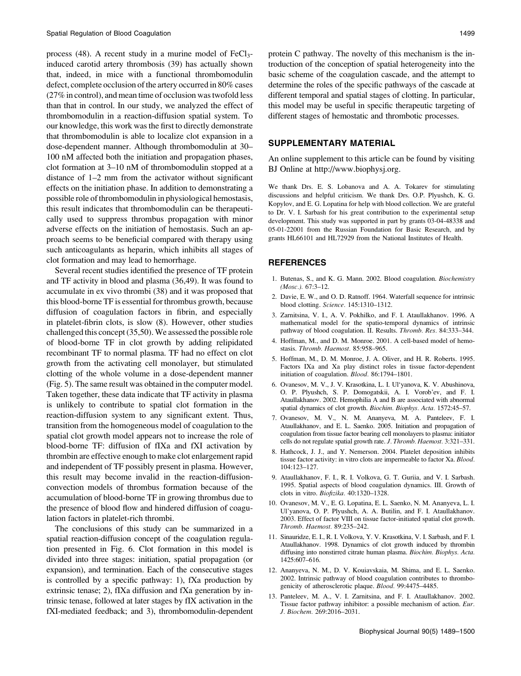process  $(48)$ . A recent study in a murine model of FeCl<sub>3</sub>induced carotid artery thrombosis (39) has actually shown that, indeed, in mice with a functional thrombomodulin defect, complete occlusion of the artery occurred in 80% cases (27% in control), and mean time of occlusion was twofold less than that in control. In our study, we analyzed the effect of thrombomodulin in a reaction-diffusion spatial system. To our knowledge, this work was the first to directly demonstrate that thrombomodulin is able to localize clot expansion in a dose-dependent manner. Although thrombomodulin at 30– 100 nM affected both the initiation and propagation phases, clot formation at 3–10 nM of thrombomodulin stopped at a distance of 1–2 mm from the activator without significant effects on the initiation phase. In addition to demonstrating a possible role of thrombomodulin in physiological hemostasis, this result indicates that thrombomodulin can be therapeutically used to suppress thrombus propagation with minor adverse effects on the initiation of hemostasis. Such an approach seems to be beneficial compared with therapy using such anticoagulants as heparin, which inhibits all stages of clot formation and may lead to hemorrhage.

Several recent studies identified the presence of TF protein and TF activity in blood and plasma (36,49). It was found to accumulate in ex vivo thrombi (38) and it was proposed that this blood-borne TF is essential for thrombus growth, because diffusion of coagulation factors in fibrin, and especially in platelet-fibrin clots, is slow (8). However, other studies challenged this concept (35,50). We assessed the possible role of blood-borne TF in clot growth by adding relipidated recombinant TF to normal plasma. TF had no effect on clot growth from the activating cell monolayer, but stimulated clotting of the whole volume in a dose-dependent manner (Fig. 5). The same result was obtained in the computer model. Taken together, these data indicate that TF activity in plasma is unlikely to contribute to spatial clot formation in the reaction-diffusion system to any significant extent. Thus, transition from the homogeneous model of coagulation to the spatial clot growth model appears not to increase the role of blood-borne TF: diffusion of fIXa and fXI activation by thrombin are effective enough to make clot enlargement rapid and independent of TF possibly present in plasma. However, this result may become invalid in the reaction-diffusionconvection models of thrombus formation because of the accumulation of blood-borne TF in growing thrombus due to the presence of blood flow and hindered diffusion of coagulation factors in platelet-rich thrombi.

The conclusions of this study can be summarized in a spatial reaction-diffusion concept of the coagulation regulation presented in Fig. 6. Clot formation in this model is divided into three stages: initiation, spatial propagation (or expansion), and termination. Each of the consecutive stages is controlled by a specific pathway: 1), fXa production by extrinsic tenase; 2), fIXa diffusion and fXa generation by intrinsic tenase, followed at later stages by fIX activation in the fXI-mediated feedback; and 3), thrombomodulin-dependent

protein C pathway. The novelty of this mechanism is the introduction of the conception of spatial heterogeneity into the basic scheme of the coagulation cascade, and the attempt to determine the roles of the specific pathways of the cascade at different temporal and spatial stages of clotting. In particular, this model may be useful in specific therapeutic targeting of different stages of hemostatic and thrombotic processes.

# SUPPLEMENTARY MATERIAL

An online supplement to this article can be found by visiting BJ Online at http://www.biophysj.org.

We thank Drs. E. S. Lobanova and A. A. Tokarev for stimulating discussions and helpful criticism. We thank Drs. O.P. Plyushch, K. G. Kopylov, and E. G. Lopatina for help with blood collection. We are grateful to Dr. V. I. Sarbash for his great contribution to the experimental setup development. This study was supported in part by grants 03-04-48338 and 05-01-22001 from the Russian Foundation for Basic Research, and by grants HL66101 and HL72929 from the National Institutes of Health.

### REFERENCES

- 1. Butenas, S., and K. G. Mann. 2002. Blood coagulation. Biochemistry (Mosc.). 67:3–12.
- 2. Davie, E. W., and O. D. Ratnoff. 1964. Waterfall sequence for intrinsic blood clotting. Science. 145:1310–1312.
- 3. Zarnitsina, V. I., A. V. Pokhilko, and F. I. Ataullakhanov. 1996. A mathematical model for the spatio-temporal dynamics of intrinsic pathway of blood coagulation. II. Results. Thromb. Res. 84:333–344.
- 4. Hoffman, M., and D. M. Monroe. 2001. A cell-based model of hemostasis. Thromb. Haemost. 85:958–965.
- 5. Hoffman, M., D. M. Monroe, J. A. Oliver, and H. R. Roberts. 1995. Factors IXa and Xa play distinct roles in tissue factor-dependent initiation of coagulation. Blood. 86:1794–1801.
- 6. Ovanesov, M. V., J. V. Krasotkina, L. I. Ul'yanova, K. V. Abushinova, O. P. Plyushch, S. P. Domogatskii, A. I. Vorob'ev, and F. I. Ataullakhanov. 2002. Hemophilia A and B are associated with abnormal spatial dynamics of clot growth. Biochim. Biophys. Acta. 1572:45-57.
- 7. Ovanesov, M. V., N. M. Ananyeva, M. A. Panteleev, F. I. Ataullakhanov, and E. L. Saenko. 2005. Initiation and propagation of coagulation from tissue factor bearing cell monolayers to plasma: initiator cells do not regulate spatial growth rate. J. Thromb. Haemost. 3:321–331.
- 8. Hathcock, J. J., and Y. Nemerson. 2004. Platelet deposition inhibits tissue factor activity: in vitro clots are impermeable to factor Xa. Blood. 104:123–127.
- 9. Ataullakhanov, F. I., R. I. Volkova, G. T. Guriia, and V. I. Sarbash. 1995. Spatial aspects of blood coagulation dynamics. III. Growth of clots in vitro. Biofizika. 40:1320–1328.
- 10. Ovanesov, M. V., E. G. Lopatina, E. L. Saenko, N. M. Ananyeva, L. I. Ul'yanova, O. P. Plyushch, A. A. Butilin, and F. I. Ataullakhanov. 2003. Effect of factor VIII on tissue factor-initiated spatial clot growth. Thromb. Haemost. 89:235–242.
- 11. Sinauridze, E. I., R. I. Volkova, Y. V. Krasotkina, V. I. Sarbash, and F. I. Ataullakhanov. 1998. Dynamics of clot growth induced by thrombin diffusing into nonstirred citrate human plasma. Biochim. Biophys. Acta. 1425:607–616.
- 12. Ananyeva, N. M., D. V. Kouiavskaia, M. Shima, and E. L. Saenko. 2002. Intrinsic pathway of blood coagulation contributes to thrombogenicity of atherosclerotic plaque. Blood. 99:4475–4485.
- 13. Panteleev, M. A., V. I. Zarnitsina, and F. I. Ataullakhanov. 2002. Tissue factor pathway inhibitor: a possible mechanism of action. Eur. J. Biochem. 269:2016–2031.